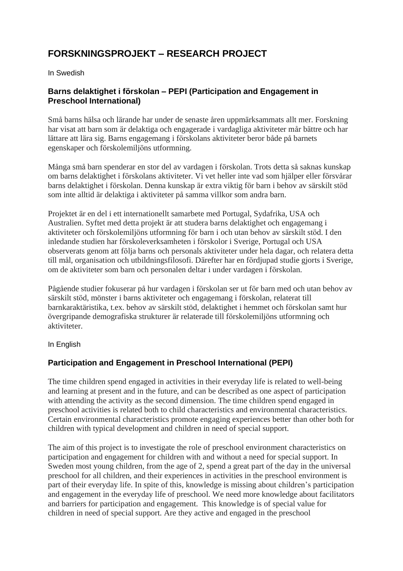# **FORSKNINGSPROJEKT – RESEARCH PROJECT**

In Swedish

# **Barns delaktighet i förskolan – PEPI (Participation and Engagement in Preschool International)**

Små barns hälsa och lärande har under de senaste åren uppmärksammats allt mer. Forskning har visat att barn som är delaktiga och engagerade i vardagliga aktiviteter mår bättre och har lättare att lära sig. Barns engagemang i förskolans aktiviteter beror både på barnets egenskaper och förskolemiljöns utformning.

Många små barn spenderar en stor del av vardagen i förskolan. Trots detta så saknas kunskap om barns delaktighet i förskolans aktiviteter. Vi vet heller inte vad som hjälper eller försvårar barns delaktighet i förskolan. Denna kunskap är extra viktig för barn i behov av särskilt stöd som inte alltid är delaktiga i aktiviteter på samma villkor som andra barn.

Projektet är en del i ett internationellt samarbete med Portugal, Sydafrika, USA och Australien. Syftet med detta projekt är att studera barns delaktighet och engagemang i aktiviteter och förskolemiljöns utformning för barn i och utan behov av särskilt stöd. I den inledande studien har förskoleverksamheten i förskolor i Sverige, Portugal och USA observerats genom att följa barns och personals aktiviteter under hela dagar, och relatera detta till mål, organisation och utbildningsfilosofi. Därefter har en fördjupad studie gjorts i Sverige, om de aktiviteter som barn och personalen deltar i under vardagen i förskolan.

Pågående studier fokuserar på hur vardagen i förskolan ser ut för barn med och utan behov av särskilt stöd, mönster i barns aktiviteter och engagemang i förskolan, relaterat till barnkaraktäristika, t.ex. behov av särskilt stöd, delaktighet i hemmet och förskolan samt hur övergripande demografiska strukturer är relaterade till förskolemiljöns utformning och aktiviteter.

In English

# **Participation and Engagement in Preschool International (PEPI)**

The time children spend engaged in activities in their everyday life is related to well-being and learning at present and in the future, and can be described as one aspect of participation with attending the activity as the second dimension. The time children spend engaged in preschool activities is related both to child characteristics and environmental characteristics. Certain environmental characteristics promote engaging experiences better than other both for children with typical development and children in need of special support.

The aim of this project is to investigate the role of preschool environment characteristics on participation and engagement for children with and without a need for special support. In Sweden most young children, from the age of 2, spend a great part of the day in the universal preschool for all children, and their experiences in activities in the preschool environment is part of their everyday life. In spite of this, knowledge is missing about children's participation and engagement in the everyday life of preschool. We need more knowledge about facilitators and barriers for participation and engagement. This knowledge is of special value for children in need of special support. Are they active and engaged in the preschool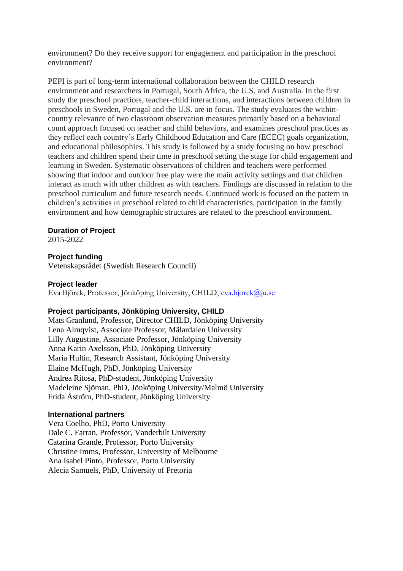environment? Do they receive support for engagement and participation in the preschool environment?

PEPI is part of long-term international collaboration between the CHILD research environment and researchers in Portugal, South Africa, the U.S. and Australia. In the first study the preschool practices, teacher-child interactions, and interactions between children in preschools in Sweden, Portugal and the U.S. are in focus. The study evaluates the withincountry relevance of two classroom observation measures primarily based on a behavioral count approach focused on teacher and child behaviors, and examines preschool practices as they reflect each country's Early Childhood Education and Care (ECEC) goals organization, and educational philosophies. This study is followed by a study focusing on how preschool teachers and children spend their time in preschool setting the stage for child engagement and learning in Sweden. Systematic observations of children and teachers were performed showing that indoor and outdoor free play were the main activity settings and that children interact as much with other children as with teachers. Findings are discussed in relation to the preschool curriculum and future research needs. Continued work is focused on the pattern in children's activities in preschool related to child characteristics, participation in the family environment and how demographic structures are related to the preschool environment.

#### **Duration of Project**

2015-2022

#### **Project funding**

Vetenskapsrådet (Swedish Research Council)

#### **Project leader**

Eva Björck, Professor, Jönköping University, CHILD, [eva.bjorck@ju.se](mailto:eva.bjorck@ju.se)

#### **Project participants, Jönköping University, CHILD**

Mats Granlund, Professor, Director CHILD, Jönköping University Lena Almqvist, Associate Professor, Mälardalen University Lilly Augustine, Associate Professor, Jönköping University Anna Karin Axelsson, PhD, Jönköping University Maria Hultin, Research Assistant, Jönköping University Elaine McHugh, PhD, Jönköping University Andrea Ritosa, PhD-student, Jönköping University Madeleine Sjöman, PhD, Jönköping University/Malmö University Frida Åström, PhD-student, Jönköping University

#### **International partners**

Vera Coelho, PhD, Porto University Dale C. Farran, Professor, Vanderbilt University Catarina Grande, Professor, Porto University Christine Imms, Professor, University of Melbourne Ana Isabel Pinto, Professor, Porto University Alecia Samuels, PhD, University of Pretoria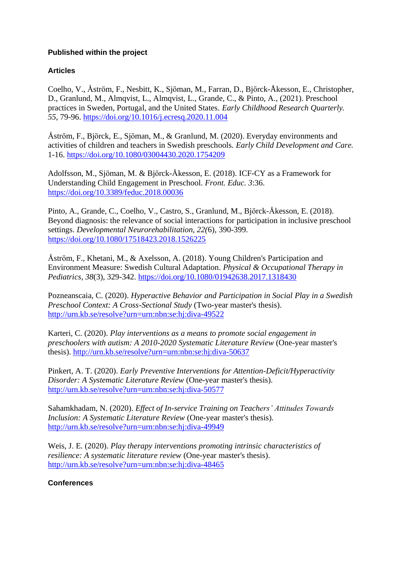### **Published within the project**

## **Articles**

Coelho, V., Åström, F., Nesbitt, K., Sjöman, M., Farran, D., Björck-Åkesson, E., Christopher, D., Granlund, M., Almqvist, L., Almqvist, L., Grande, C., & Pinto, A., (2021). Preschool practices in Sweden, Portugal, and the United States. *Early Childhood Research Quarterly. 55*, 79-96. <https://doi.org/10.1016/j.ecresq.2020.11.004>

Åström, F., Björck, E., Sjöman, M., & Granlund, M. (2020). Everyday environments and activities of children and teachers in Swedish preschools. *Early Child Development and Care.*  1-16. <https://doi.org/10.1080/03004430.2020.1754209>

Adolfsson, M., Sjöman, M. & Björck-Åkesson, E. (2018). ICF-CY as a Framework for Understanding Child Engagement in Preschool. *Front. Educ. 3*:36. <https://doi.org/10.3389/feduc.2018.00036>

Pinto, A., Grande, C., Coelho, V., Castro, S., Granlund, M., Björck-Åkesson, E. (2018). Beyond diagnosis: the relevance of social interactions for participation in inclusive preschool settings. *Developmental Neurorehabilitation, 22(*6), 390-399. <https://doi.org/10.1080/17518423.2018.1526225>

Åström, F., Khetani, M., & Axelsson, A. (2018). Young Children's Participation and Environment Measure: Swedish Cultural Adaptation. *Physical & Occupational Therapy in Pediatrics, 38*(3), 329-342.<https://doi.org/10.1080/01942638.2017.1318430>

Pozneanscaia, C. (2020). *Hyperactive Behavior and Participation in Social Play in a Swedish Preschool Context: A Cross-Sectional Study* (Two-year master's thesis). <http://urn.kb.se/resolve?urn=urn:nbn:se:hj:diva-49522>

Karteri, C. (2020). *Play interventions as a means to promote social engagement in preschoolers with autism: A 2010-2020 Systematic Literature Review* (One-year master's thesis).<http://urn.kb.se/resolve?urn=urn:nbn:se:hj:diva-50637>

Pinkert, A. T. (2020). *Early Preventive Interventions for Attention-Deficit/Hyperactivity Disorder: A Systematic Literature Review* (One-year master's thesis). <http://urn.kb.se/resolve?urn=urn:nbn:se:hj:diva-50577>

Sahamkhadam, N. (2020). *Effect of In-service Training on Teachers' Attitudes Towards Inclusion: A Systematic Literature Review* (One-year master's thesis). <http://urn.kb.se/resolve?urn=urn:nbn:se:hj:diva-49949>

Weis, J. E. (2020). *Play therapy interventions promoting intrinsic characteristics of resilience: A systematic literature review* (One-year master's thesis). <http://urn.kb.se/resolve?urn=urn:nbn:se:hj:diva-48465>

**Conferences**